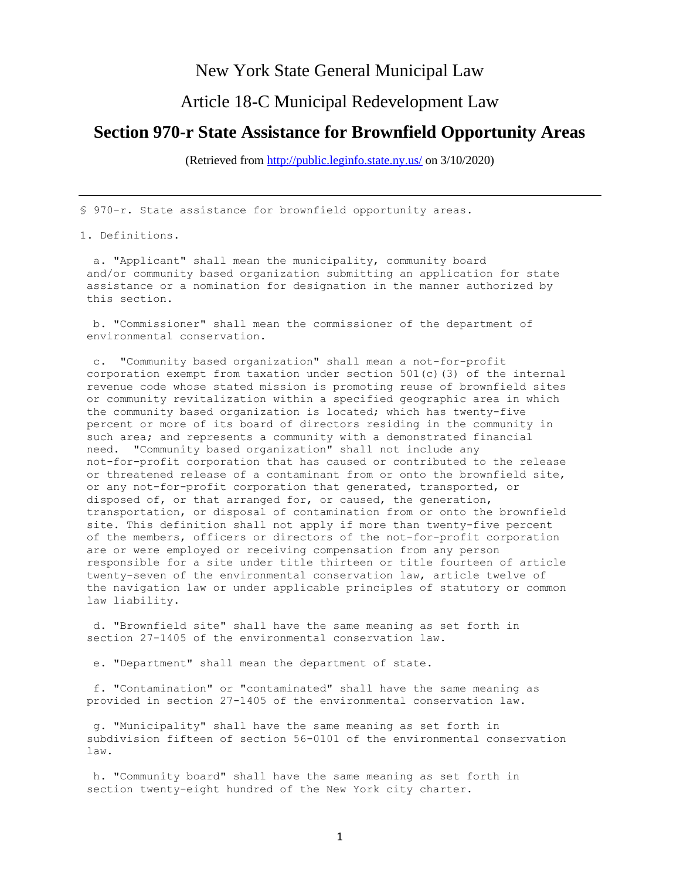## New York State General Municipal Law

## Article 18-C Municipal Redevelopment Law

## **Section 970-r State Assistance for Brownfield Opportunity Areas**

(Retrieved from<http://public.leginfo.state.ny.us/> on 3/10/2020)

§ 970-r. State assistance for brownfield opportunity areas.

## 1. Definitions.

 a. "Applicant" shall mean the municipality, community board and/or community based organization submitting an application for state assistance or a nomination for designation in the manner authorized by this section.

 b. "Commissioner" shall mean the commissioner of the department of environmental conservation.

 c. "Community based organization" shall mean a not-for-profit corporation exempt from taxation under section 501(c)(3) of the internal revenue code whose stated mission is promoting reuse of brownfield sites or community revitalization within a specified geographic area in which the community based organization is located; which has twenty-five percent or more of its board of directors residing in the community in such area; and represents a community with a demonstrated financial need. "Community based organization" shall not include any not-for-profit corporation that has caused or contributed to the release or threatened release of a contaminant from or onto the brownfield site, or any not-for-profit corporation that generated, transported, or disposed of, or that arranged for, or caused, the generation, transportation, or disposal of contamination from or onto the brownfield site. This definition shall not apply if more than twenty-five percent of the members, officers or directors of the not-for-profit corporation are or were employed or receiving compensation from any person responsible for a site under title thirteen or title fourteen of article twenty-seven of the environmental conservation law, article twelve of the navigation law or under applicable principles of statutory or common law liability.

 d. "Brownfield site" shall have the same meaning as set forth in section 27-1405 of the environmental conservation law.

e. "Department" shall mean the department of state.

 f. "Contamination" or "contaminated" shall have the same meaning as provided in section 27-1405 of the environmental conservation law.

 g. "Municipality" shall have the same meaning as set forth in subdivision fifteen of section 56-0101 of the environmental conservation law.

 h. "Community board" shall have the same meaning as set forth in section twenty-eight hundred of the New York city charter.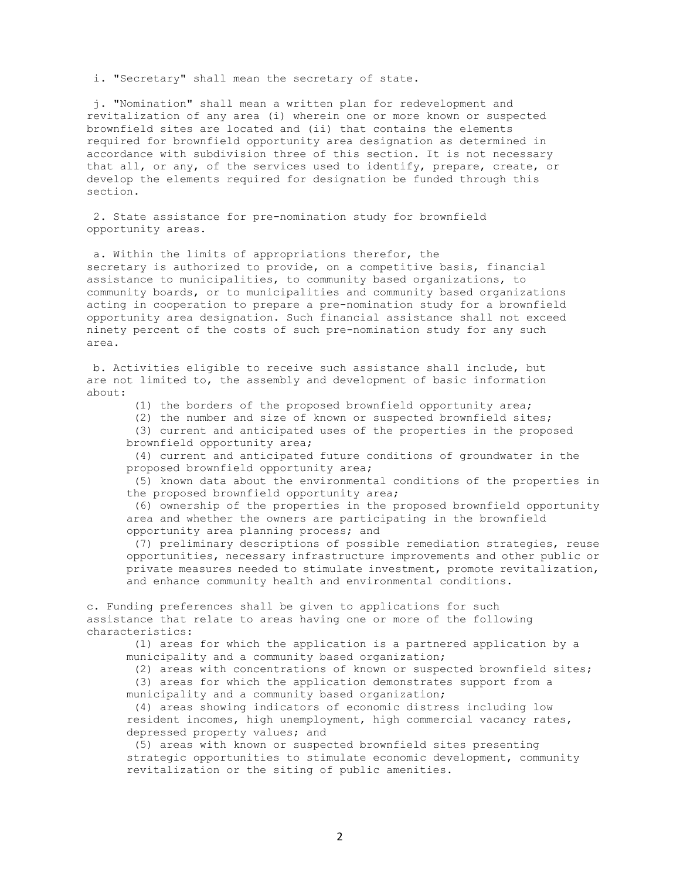i. "Secretary" shall mean the secretary of state.

 j. "Nomination" shall mean a written plan for redevelopment and revitalization of any area (i) wherein one or more known or suspected brownfield sites are located and (ii) that contains the elements required for brownfield opportunity area designation as determined in accordance with subdivision three of this section. It is not necessary that all, or any, of the services used to identify, prepare, create, or develop the elements required for designation be funded through this section.

 2. State assistance for pre-nomination study for brownfield opportunity areas.

 a. Within the limits of appropriations therefor, the secretary is authorized to provide, on a competitive basis, financial assistance to municipalities, to community based organizations, to community boards, or to municipalities and community based organizations acting in cooperation to prepare a pre-nomination study for a brownfield opportunity area designation. Such financial assistance shall not exceed ninety percent of the costs of such pre-nomination study for any such area.

b. Activities eligible to receive such assistance shall include, but are not limited to, the assembly and development of basic information about:

(1) the borders of the proposed brownfield opportunity area;

 (2) the number and size of known or suspected brownfield sites; (3) current and anticipated uses of the properties in the proposed

brownfield opportunity area;

 (4) current and anticipated future conditions of groundwater in the proposed brownfield opportunity area;

 (5) known data about the environmental conditions of the properties in the proposed brownfield opportunity area;

 (6) ownership of the properties in the proposed brownfield opportunity area and whether the owners are participating in the brownfield opportunity area planning process; and

 (7) preliminary descriptions of possible remediation strategies, reuse opportunities, necessary infrastructure improvements and other public or private measures needed to stimulate investment, promote revitalization, and enhance community health and environmental conditions.

c. Funding preferences shall be given to applications for such assistance that relate to areas having one or more of the following characteristics:

 (1) areas for which the application is a partnered application by a municipality and a community based organization;

(2) areas with concentrations of known or suspected brownfield sites;

 (3) areas for which the application demonstrates support from a municipality and a community based organization;

 (4) areas showing indicators of economic distress including low resident incomes, high unemployment, high commercial vacancy rates, depressed property values; and

 (5) areas with known or suspected brownfield sites presenting strategic opportunities to stimulate economic development, community revitalization or the siting of public amenities.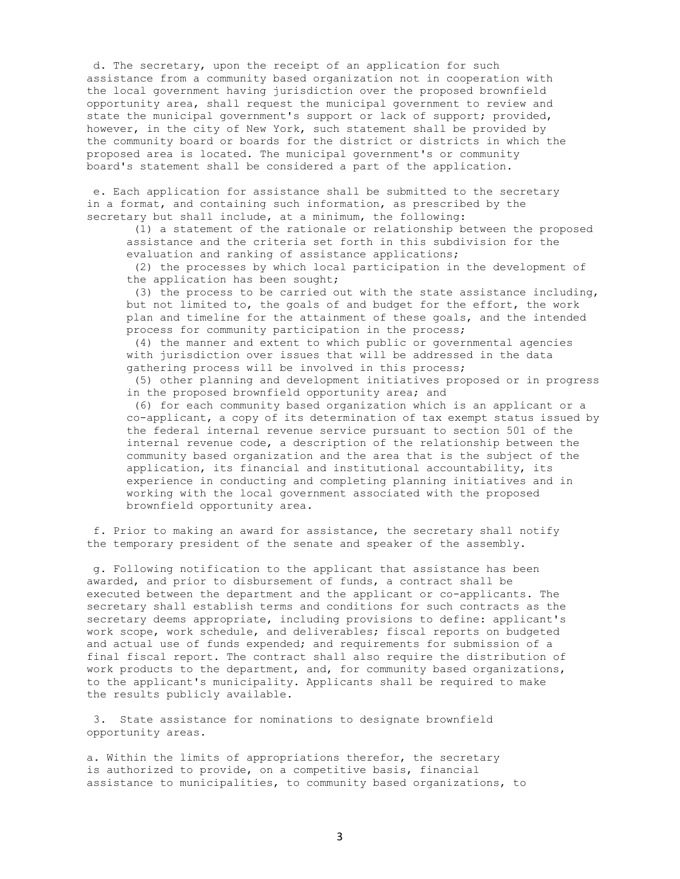d. The secretary, upon the receipt of an application for such assistance from a community based organization not in cooperation with the local government having jurisdiction over the proposed brownfield opportunity area, shall request the municipal government to review and state the municipal government's support or lack of support; provided, however, in the city of New York, such statement shall be provided by the community board or boards for the district or districts in which the proposed area is located. The municipal government's or community board's statement shall be considered a part of the application.

 e. Each application for assistance shall be submitted to the secretary in a format, and containing such information, as prescribed by the secretary but shall include, at a minimum, the following:

 (1) a statement of the rationale or relationship between the proposed assistance and the criteria set forth in this subdivision for the evaluation and ranking of assistance applications;

 (2) the processes by which local participation in the development of the application has been sought;

 (3) the process to be carried out with the state assistance including, but not limited to, the goals of and budget for the effort, the work plan and timeline for the attainment of these goals, and the intended process for community participation in the process;

 (4) the manner and extent to which public or governmental agencies with jurisdiction over issues that will be addressed in the data gathering process will be involved in this process;

 (5) other planning and development initiatives proposed or in progress in the proposed brownfield opportunity area; and

 (6) for each community based organization which is an applicant or a co-applicant, a copy of its determination of tax exempt status issued by the federal internal revenue service pursuant to section 501 of the internal revenue code, a description of the relationship between the community based organization and the area that is the subject of the application, its financial and institutional accountability, its experience in conducting and completing planning initiatives and in working with the local government associated with the proposed brownfield opportunity area.

 f. Prior to making an award for assistance, the secretary shall notify the temporary president of the senate and speaker of the assembly.

 g. Following notification to the applicant that assistance has been awarded, and prior to disbursement of funds, a contract shall be executed between the department and the applicant or co-applicants. The secretary shall establish terms and conditions for such contracts as the secretary deems appropriate, including provisions to define: applicant's work scope, work schedule, and deliverables; fiscal reports on budgeted and actual use of funds expended; and requirements for submission of a final fiscal report. The contract shall also require the distribution of work products to the department, and, for community based organizations, to the applicant's municipality. Applicants shall be required to make the results publicly available.

 3. State assistance for nominations to designate brownfield opportunity areas.

a. Within the limits of appropriations therefor, the secretary is authorized to provide, on a competitive basis, financial assistance to municipalities, to community based organizations, to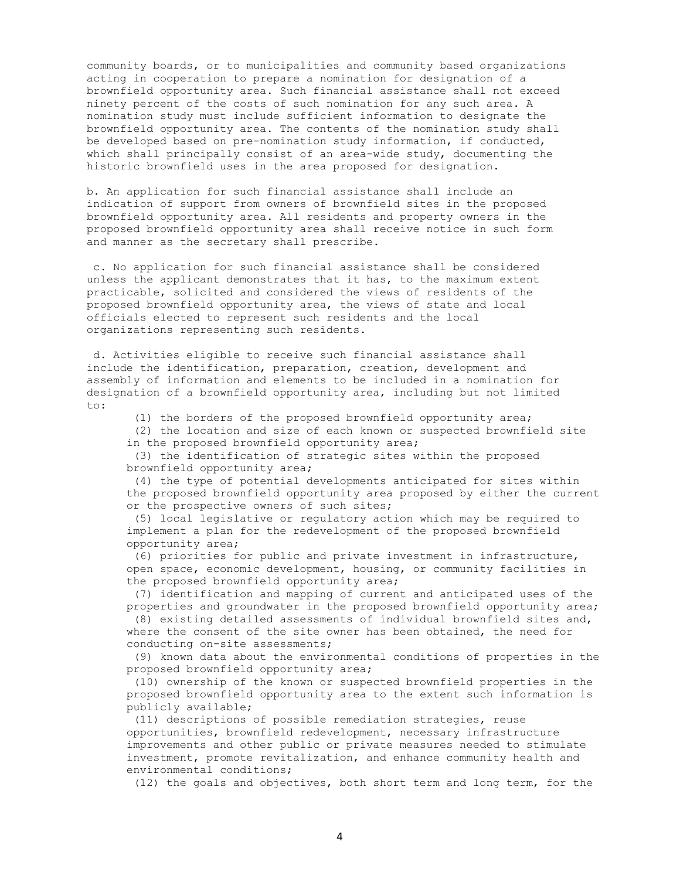community boards, or to municipalities and community based organizations acting in cooperation to prepare a nomination for designation of a brownfield opportunity area. Such financial assistance shall not exceed ninety percent of the costs of such nomination for any such area. A nomination study must include sufficient information to designate the brownfield opportunity area. The contents of the nomination study shall be developed based on pre-nomination study information, if conducted, which shall principally consist of an area-wide study, documenting the historic brownfield uses in the area proposed for designation.

b. An application for such financial assistance shall include an indication of support from owners of brownfield sites in the proposed brownfield opportunity area. All residents and property owners in the proposed brownfield opportunity area shall receive notice in such form and manner as the secretary shall prescribe.

 c. No application for such financial assistance shall be considered unless the applicant demonstrates that it has, to the maximum extent practicable, solicited and considered the views of residents of the proposed brownfield opportunity area, the views of state and local officials elected to represent such residents and the local organizations representing such residents.

 d. Activities eligible to receive such financial assistance shall include the identification, preparation, creation, development and assembly of information and elements to be included in a nomination for designation of a brownfield opportunity area, including but not limited to:

(1) the borders of the proposed brownfield opportunity area;

 (2) the location and size of each known or suspected brownfield site in the proposed brownfield opportunity area;

 (3) the identification of strategic sites within the proposed brownfield opportunity area;

 (4) the type of potential developments anticipated for sites within the proposed brownfield opportunity area proposed by either the current or the prospective owners of such sites;

 (5) local legislative or regulatory action which may be required to implement a plan for the redevelopment of the proposed brownfield opportunity area;

 (6) priorities for public and private investment in infrastructure, open space, economic development, housing, or community facilities in the proposed brownfield opportunity area;

 (7) identification and mapping of current and anticipated uses of the properties and groundwater in the proposed brownfield opportunity area;

 (8) existing detailed assessments of individual brownfield sites and, where the consent of the site owner has been obtained, the need for conducting on-site assessments;

 (9) known data about the environmental conditions of properties in the proposed brownfield opportunity area;

 (10) ownership of the known or suspected brownfield properties in the proposed brownfield opportunity area to the extent such information is publicly available;

 (11) descriptions of possible remediation strategies, reuse opportunities, brownfield redevelopment, necessary infrastructure improvements and other public or private measures needed to stimulate investment, promote revitalization, and enhance community health and environmental conditions;

(12) the goals and objectives, both short term and long term, for the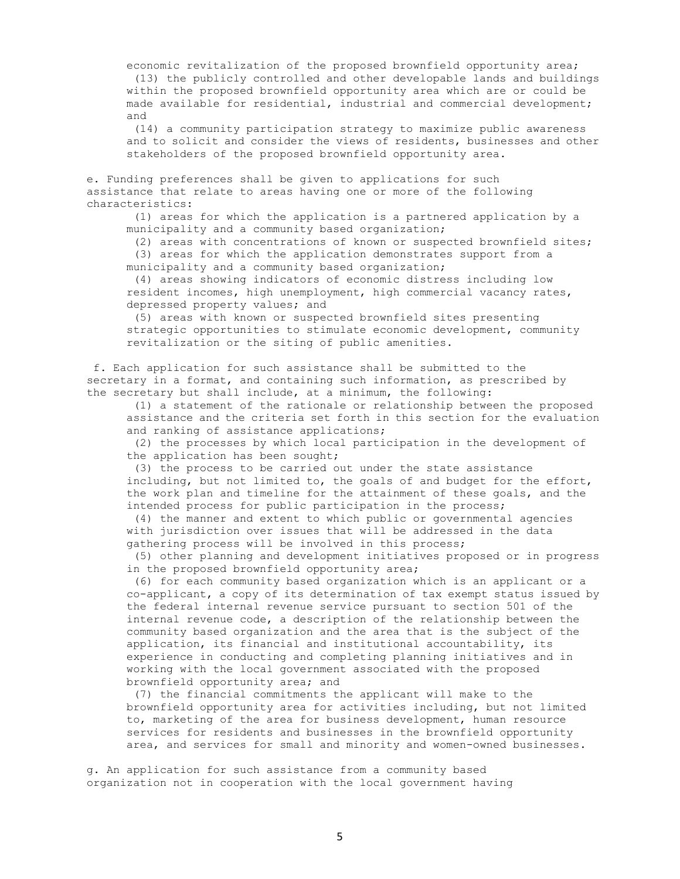economic revitalization of the proposed brownfield opportunity area; (13) the publicly controlled and other developable lands and buildings within the proposed brownfield opportunity area which are or could be made available for residential, industrial and commercial development; and

 (14) a community participation strategy to maximize public awareness and to solicit and consider the views of residents, businesses and other stakeholders of the proposed brownfield opportunity area.

e. Funding preferences shall be given to applications for such assistance that relate to areas having one or more of the following characteristics:

 (1) areas for which the application is a partnered application by a municipality and a community based organization;

 (2) areas with concentrations of known or suspected brownfield sites; (3) areas for which the application demonstrates support from a municipality and a community based organization;

 (4) areas showing indicators of economic distress including low resident incomes, high unemployment, high commercial vacancy rates, depressed property values; and

 (5) areas with known or suspected brownfield sites presenting strategic opportunities to stimulate economic development, community revitalization or the siting of public amenities.

 f. Each application for such assistance shall be submitted to the secretary in a format, and containing such information, as prescribed by the secretary but shall include, at a minimum, the following:

 (1) a statement of the rationale or relationship between the proposed assistance and the criteria set forth in this section for the evaluation and ranking of assistance applications;

 (2) the processes by which local participation in the development of the application has been sought;

 (3) the process to be carried out under the state assistance including, but not limited to, the goals of and budget for the effort, the work plan and timeline for the attainment of these goals, and the intended process for public participation in the process;

 (4) the manner and extent to which public or governmental agencies with jurisdiction over issues that will be addressed in the data gathering process will be involved in this process;

 (5) other planning and development initiatives proposed or in progress in the proposed brownfield opportunity area;

 (6) for each community based organization which is an applicant or a co-applicant, a copy of its determination of tax exempt status issued by the federal internal revenue service pursuant to section 501 of the internal revenue code, a description of the relationship between the community based organization and the area that is the subject of the application, its financial and institutional accountability, its experience in conducting and completing planning initiatives and in working with the local government associated with the proposed brownfield opportunity area; and

 (7) the financial commitments the applicant will make to the brownfield opportunity area for activities including, but not limited to, marketing of the area for business development, human resource services for residents and businesses in the brownfield opportunity area, and services for small and minority and women-owned businesses.

g. An application for such assistance from a community based organization not in cooperation with the local government having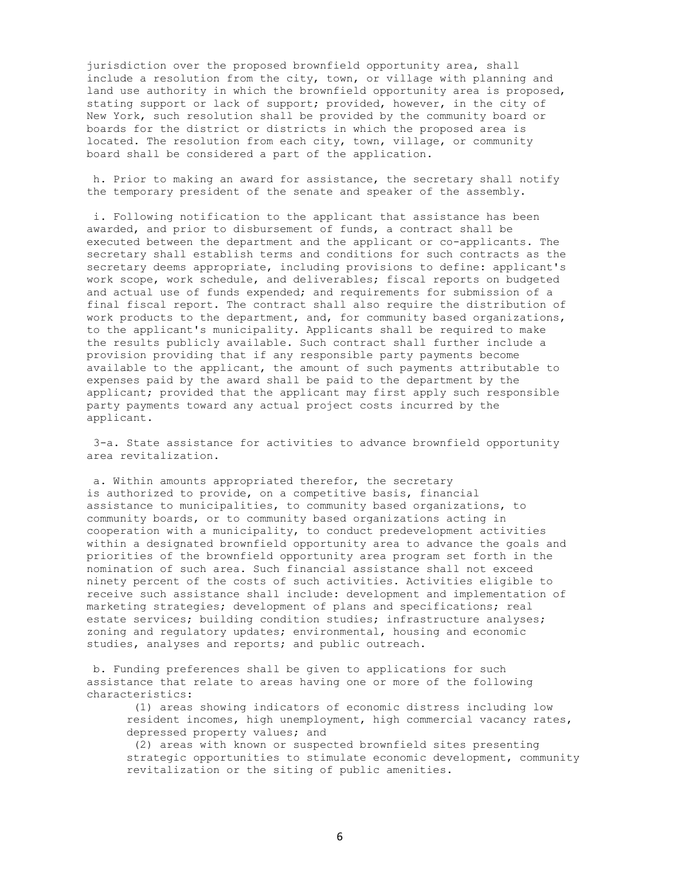jurisdiction over the proposed brownfield opportunity area, shall include a resolution from the city, town, or village with planning and land use authority in which the brownfield opportunity area is proposed, stating support or lack of support; provided, however, in the city of New York, such resolution shall be provided by the community board or boards for the district or districts in which the proposed area is located. The resolution from each city, town, village, or community board shall be considered a part of the application.

 h. Prior to making an award for assistance, the secretary shall notify the temporary president of the senate and speaker of the assembly.

 i. Following notification to the applicant that assistance has been awarded, and prior to disbursement of funds, a contract shall be executed between the department and the applicant or co-applicants. The secretary shall establish terms and conditions for such contracts as the secretary deems appropriate, including provisions to define: applicant's work scope, work schedule, and deliverables; fiscal reports on budgeted and actual use of funds expended; and requirements for submission of a final fiscal report. The contract shall also require the distribution of work products to the department, and, for community based organizations, to the applicant's municipality. Applicants shall be required to make the results publicly available. Such contract shall further include a provision providing that if any responsible party payments become available to the applicant, the amount of such payments attributable to expenses paid by the award shall be paid to the department by the applicant; provided that the applicant may first apply such responsible party payments toward any actual project costs incurred by the applicant.

 3-a. State assistance for activities to advance brownfield opportunity area revitalization.

 a. Within amounts appropriated therefor, the secretary is authorized to provide, on a competitive basis, financial assistance to municipalities, to community based organizations, to community boards, or to community based organizations acting in cooperation with a municipality, to conduct predevelopment activities within a designated brownfield opportunity area to advance the goals and priorities of the brownfield opportunity area program set forth in the nomination of such area. Such financial assistance shall not exceed ninety percent of the costs of such activities. Activities eligible to receive such assistance shall include: development and implementation of marketing strategies; development of plans and specifications; real estate services; building condition studies; infrastructure analyses; zoning and regulatory updates; environmental, housing and economic studies, analyses and reports; and public outreach.

b. Funding preferences shall be given to applications for such assistance that relate to areas having one or more of the following characteristics:

 (1) areas showing indicators of economic distress including low resident incomes, high unemployment, high commercial vacancy rates, depressed property values; and

 (2) areas with known or suspected brownfield sites presenting strategic opportunities to stimulate economic development, community revitalization or the siting of public amenities.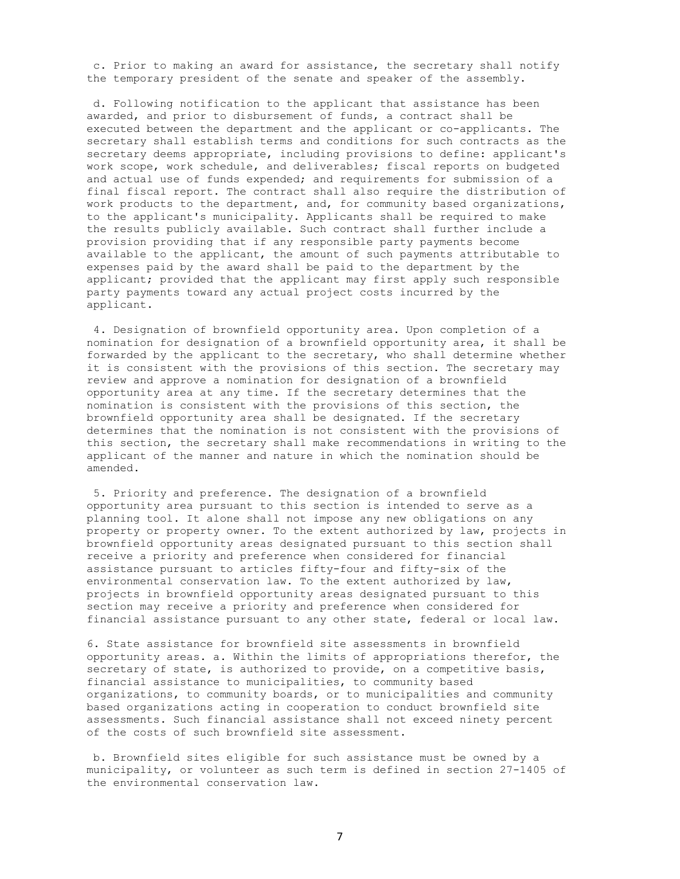c. Prior to making an award for assistance, the secretary shall notify the temporary president of the senate and speaker of the assembly.

 d. Following notification to the applicant that assistance has been awarded, and prior to disbursement of funds, a contract shall be executed between the department and the applicant or co-applicants. The secretary shall establish terms and conditions for such contracts as the secretary deems appropriate, including provisions to define: applicant's work scope, work schedule, and deliverables; fiscal reports on budgeted and actual use of funds expended; and requirements for submission of a final fiscal report. The contract shall also require the distribution of work products to the department, and, for community based organizations, to the applicant's municipality. Applicants shall be required to make the results publicly available. Such contract shall further include a provision providing that if any responsible party payments become available to the applicant, the amount of such payments attributable to expenses paid by the award shall be paid to the department by the applicant; provided that the applicant may first apply such responsible party payments toward any actual project costs incurred by the applicant.

 4. Designation of brownfield opportunity area. Upon completion of a nomination for designation of a brownfield opportunity area, it shall be forwarded by the applicant to the secretary, who shall determine whether it is consistent with the provisions of this section. The secretary may review and approve a nomination for designation of a brownfield opportunity area at any time. If the secretary determines that the nomination is consistent with the provisions of this section, the brownfield opportunity area shall be designated. If the secretary determines that the nomination is not consistent with the provisions of this section, the secretary shall make recommendations in writing to the applicant of the manner and nature in which the nomination should be amended.

 5. Priority and preference. The designation of a brownfield opportunity area pursuant to this section is intended to serve as a planning tool. It alone shall not impose any new obligations on any property or property owner. To the extent authorized by law, projects in brownfield opportunity areas designated pursuant to this section shall receive a priority and preference when considered for financial assistance pursuant to articles fifty-four and fifty-six of the environmental conservation law. To the extent authorized by law, projects in brownfield opportunity areas designated pursuant to this section may receive a priority and preference when considered for financial assistance pursuant to any other state, federal or local law.

6. State assistance for brownfield site assessments in brownfield opportunity areas. a. Within the limits of appropriations therefor, the secretary of state, is authorized to provide, on a competitive basis, financial assistance to municipalities, to community based organizations, to community boards, or to municipalities and community based organizations acting in cooperation to conduct brownfield site assessments. Such financial assistance shall not exceed ninety percent of the costs of such brownfield site assessment.

 b. Brownfield sites eligible for such assistance must be owned by a municipality, or volunteer as such term is defined in section 27-1405 of the environmental conservation law.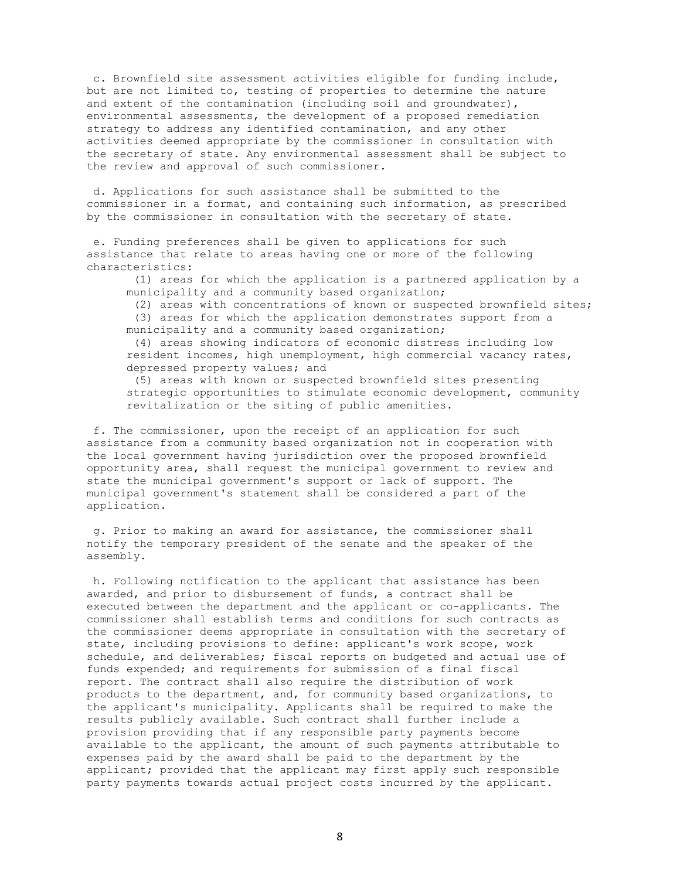c. Brownfield site assessment activities eligible for funding include, but are not limited to, testing of properties to determine the nature and extent of the contamination (including soil and groundwater), environmental assessments, the development of a proposed remediation strategy to address any identified contamination, and any other activities deemed appropriate by the commissioner in consultation with the secretary of state. Any environmental assessment shall be subject to the review and approval of such commissioner.

 d. Applications for such assistance shall be submitted to the commissioner in a format, and containing such information, as prescribed by the commissioner in consultation with the secretary of state.

 e. Funding preferences shall be given to applications for such assistance that relate to areas having one or more of the following characteristics:

 (1) areas for which the application is a partnered application by a municipality and a community based organization;

(2) areas with concentrations of known or suspected brownfield sites;

 (3) areas for which the application demonstrates support from a municipality and a community based organization;

 (4) areas showing indicators of economic distress including low resident incomes, high unemployment, high commercial vacancy rates, depressed property values; and

 (5) areas with known or suspected brownfield sites presenting strategic opportunities to stimulate economic development, community revitalization or the siting of public amenities.

 f. The commissioner, upon the receipt of an application for such assistance from a community based organization not in cooperation with the local government having jurisdiction over the proposed brownfield opportunity area, shall request the municipal government to review and state the municipal government's support or lack of support. The municipal government's statement shall be considered a part of the application.

 g. Prior to making an award for assistance, the commissioner shall notify the temporary president of the senate and the speaker of the assembly.

 h. Following notification to the applicant that assistance has been awarded, and prior to disbursement of funds, a contract shall be executed between the department and the applicant or co-applicants. The commissioner shall establish terms and conditions for such contracts as the commissioner deems appropriate in consultation with the secretary of state, including provisions to define: applicant's work scope, work schedule, and deliverables; fiscal reports on budgeted and actual use of funds expended; and requirements for submission of a final fiscal report. The contract shall also require the distribution of work products to the department, and, for community based organizations, to the applicant's municipality. Applicants shall be required to make the results publicly available. Such contract shall further include a provision providing that if any responsible party payments become available to the applicant, the amount of such payments attributable to expenses paid by the award shall be paid to the department by the applicant; provided that the applicant may first apply such responsible party payments towards actual project costs incurred by the applicant.